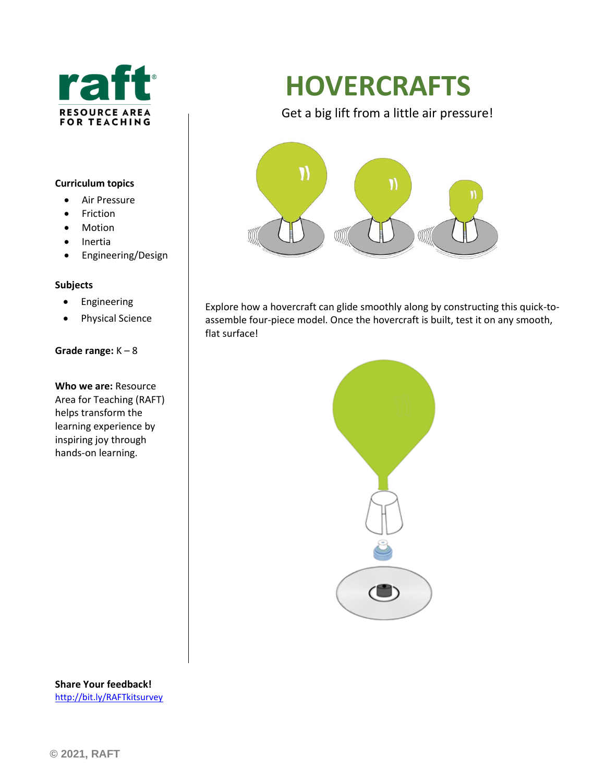

#### **Curriculum topics**

- Air Pressure
- Friction
- Motion
- Inertia
- Engineering/Design

#### **Subjects**

- Engineering
- Physical Science

#### **Grade range:** K – 8

**Who we are:** Resource Area for Teaching (RAFT) helps transform the learning experience by inspiring joy through hands-on learning.

# **HOVERCRAFTS**

Get a big lift from a little air pressure!



Explore how a hovercraft can glide smoothly along by constructing this quick-toassemble four-piece model. Once the hovercraft is built, test it on any smooth, flat surface!



**Share Your feedback!** <http://bit.ly/RAFTkitsurvey>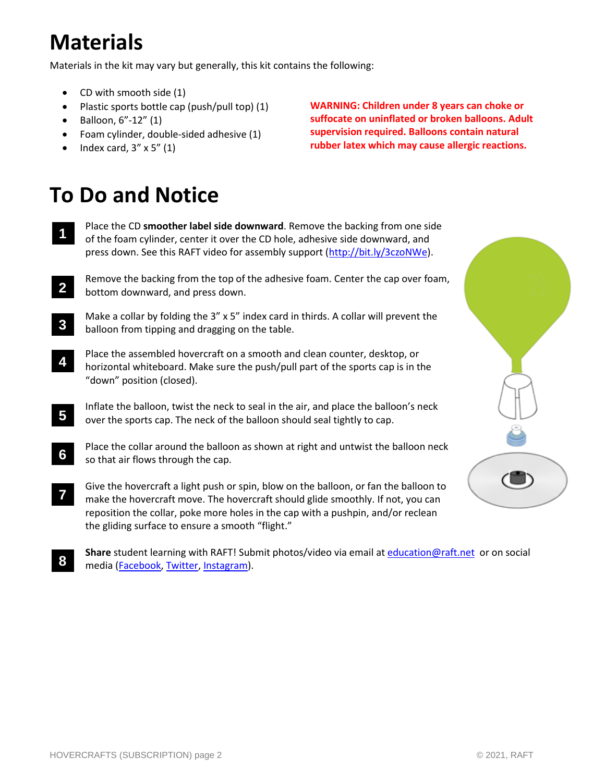### **Materials**

Materials in the kit may vary but generally, this kit contains the following:

- CD with smooth side (1)
- Plastic sports bottle cap (push/pull top) (1)
- Balloon, 6"-12" (1)
- Foam cylinder, double-sided adhesive (1)
- Index card,  $3'' \times 5''$  (1)

**WARNING: Children under 8 years can choke or suffocate on uninflated or broken balloons. Adult supervision required. Balloons contain natural rubber latex which may cause allergic reactions.**

## **To Do and Notice**

- Place the CD **smoother label side downward**. Remove the backing from one side of the foam cylinder, center it over the CD hole, adhesive side downward, and press down. See this RAFT video for assembly support [\(http://bit.ly/3czoNWe\)](http://bit.ly/3czoNWe). **1**
- Remove the backing from the top of the adhesive foam. Center the cap over foam, bottom downward, and press down. **2**
- Make a collar by folding the 3" x 5" index card in thirds. A collar will prevent the balloon from tipping and dragging on the table. **3**
- Place the assembled hovercraft on a smooth and clean counter, desktop, or horizontal whiteboard. Make sure the push/pull part of the sports cap is in the "down" position (closed). **4**
- Inflate the balloon, twist the neck to seal in the air, and place the balloon's neck over the sports cap. The neck of the balloon should seal tightly to cap. **5**
- Place the collar around the balloon as shown at right and untwist the balloon neck so that air flows through the cap. **6**
- Give the hovercraft a light push or spin, blow on the balloon, or fan the balloon to make the hovercraft move. The hovercraft should glide smoothly. If not, you can reposition the collar, poke more holes in the cap with a pushpin, and/or reclean the gliding surface to ensure a smooth "flight." **7**
- **Share** student learning with RAFT! Submit photos/video via email at [education@raft.net](mailto:education@raft.net) or on social media [\(Facebook,](https://www.facebook.com/raftbayarea/) [Twitter,](https://twitter.com/raftbayarea) [Instagram\)](https://www.instagram.com/resource_area_for_teaching/). **8**